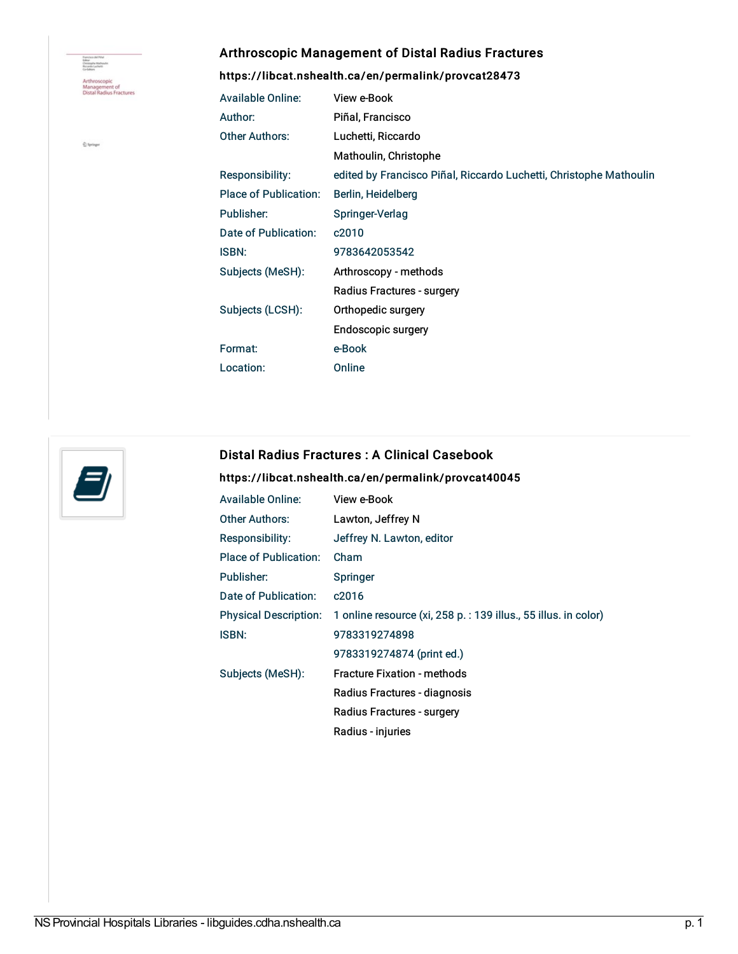Francisco del Pittal<br>Editor<br>Christiaghe Mathawlin<br>Riccarde Luchetti Arthroscopic<br>Management of<br>Distal Radius Fractures

 $\hat{\underline{\mathbb{Q}}}$  Syringer

## Arthroscopic Management of Distal Radius Fractures

<https://libcat.nshealth.ca/en/permalink/provcat28473>

| <b>Available Online:</b> | View e-Book                                                        |
|--------------------------|--------------------------------------------------------------------|
| Author:                  | Piñal, Francisco                                                   |
| <b>Other Authors:</b>    | Luchetti, Riccardo                                                 |
|                          | Mathoulin, Christophe                                              |
| Responsibility:          | edited by Francisco Piñal, Riccardo Luchetti, Christophe Mathoulin |
| Place of Publication:    | Berlin, Heidelberg                                                 |
| Publisher:               | Springer-Verlag                                                    |
| Date of Publication:     | c2010                                                              |
| <b>ISBN:</b>             | 9783642053542                                                      |
| Subjects (MeSH):         | Arthroscopy - methods                                              |
|                          | Radius Fractures - surgery                                         |
| Subjects (LCSH):         | Orthopedic surgery                                                 |
|                          | Endoscopic surgery                                                 |
| Format:                  | e-Book                                                             |
| Location:                | Online                                                             |



## Distal Radius Fractures : A Clinical Casebook

## <https://libcat.nshealth.ca/en/permalink/provcat40045>

| <b>Available Online:</b>     | View e-Book                                                     |
|------------------------------|-----------------------------------------------------------------|
| <b>Other Authors:</b>        | Lawton, Jeffrey N                                               |
| <b>Responsibility:</b>       | Jeffrey N. Lawton, editor                                       |
| Place of Publication:        | Cham                                                            |
| Publisher:                   | Springer                                                        |
| Date of Publication:         | c <sub>2016</sub>                                               |
| <b>Physical Description:</b> | 1 online resource (xi, 258 p. : 139 illus., 55 illus. in color) |
| <b>ISBN:</b>                 | 9783319274898                                                   |
|                              | 9783319274874 (print ed.)                                       |
| Subjects (MeSH):             | <b>Fracture Fixation - methods</b>                              |
|                              | Radius Fractures - diagnosis                                    |
|                              | Radius Fractures - surgery                                      |
|                              | Radius - injuries                                               |